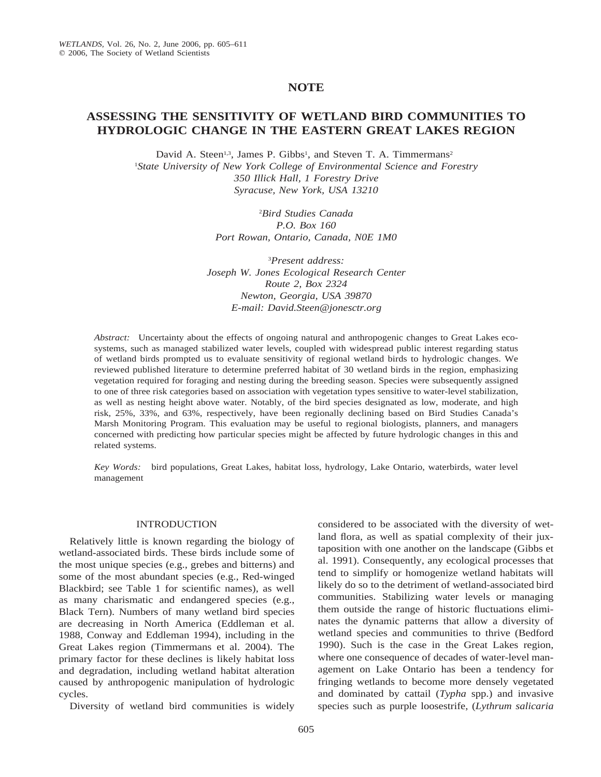# **NOTE**

# **ASSESSING THE SENSITIVITY OF WETLAND BIRD COMMUNITIES TO HYDROLOGIC CHANGE IN THE EASTERN GREAT LAKES REGION**

David A. Steen<sup>1,3</sup>, James P. Gibbs<sup>1</sup>, and Steven T. A. Timmermans<sup>2</sup> 1 *State University of New York College of Environmental Science and Forestry 350 Illick Hall, 1 Forestry Drive Syracuse, New York, USA 13210*

> 2 *Bird Studies Canada P.O. Box 160 Port Rowan, Ontario, Canada, N0E 1M0*

3 *Present address: Joseph W. Jones Ecological Research Center Route 2, Box 2324 Newton, Georgia, USA 39870 E-mail: David.Steen@jonesctr.org*

*Abstract:* Uncertainty about the effects of ongoing natural and anthropogenic changes to Great Lakes ecosystems, such as managed stabilized water levels, coupled with widespread public interest regarding status of wetland birds prompted us to evaluate sensitivity of regional wetland birds to hydrologic changes. We reviewed published literature to determine preferred habitat of 30 wetland birds in the region, emphasizing vegetation required for foraging and nesting during the breeding season. Species were subsequently assigned to one of three risk categories based on association with vegetation types sensitive to water-level stabilization, as well as nesting height above water. Notably, of the bird species designated as low, moderate, and high risk, 25%, 33%, and 63%, respectively, have been regionally declining based on Bird Studies Canada's Marsh Monitoring Program. This evaluation may be useful to regional biologists, planners, and managers concerned with predicting how particular species might be affected by future hydrologic changes in this and related systems.

*Key Words:* bird populations, Great Lakes, habitat loss, hydrology, Lake Ontario, waterbirds, water level management

### INTRODUCTION

Relatively little is known regarding the biology of wetland-associated birds. These birds include some of the most unique species (e.g., grebes and bitterns) and some of the most abundant species (e.g., Red-winged Blackbird; see Table 1 for scientific names), as well as many charismatic and endangered species (e.g., Black Tern). Numbers of many wetland bird species are decreasing in North America (Eddleman et al. 1988, Conway and Eddleman 1994), including in the Great Lakes region (Timmermans et al. 2004). The primary factor for these declines is likely habitat loss and degradation, including wetland habitat alteration caused by anthropogenic manipulation of hydrologic cycles.

Diversity of wetland bird communities is widely

considered to be associated with the diversity of wetland flora, as well as spatial complexity of their juxtaposition with one another on the landscape (Gibbs et al. 1991). Consequently, any ecological processes that tend to simplify or homogenize wetland habitats will likely do so to the detriment of wetland-associated bird communities. Stabilizing water levels or managing them outside the range of historic fluctuations eliminates the dynamic patterns that allow a diversity of wetland species and communities to thrive (Bedford 1990). Such is the case in the Great Lakes region, where one consequence of decades of water-level management on Lake Ontario has been a tendency for fringing wetlands to become more densely vegetated and dominated by cattail (*Typha* spp.) and invasive species such as purple loosestrife, (*Lythrum salicaria*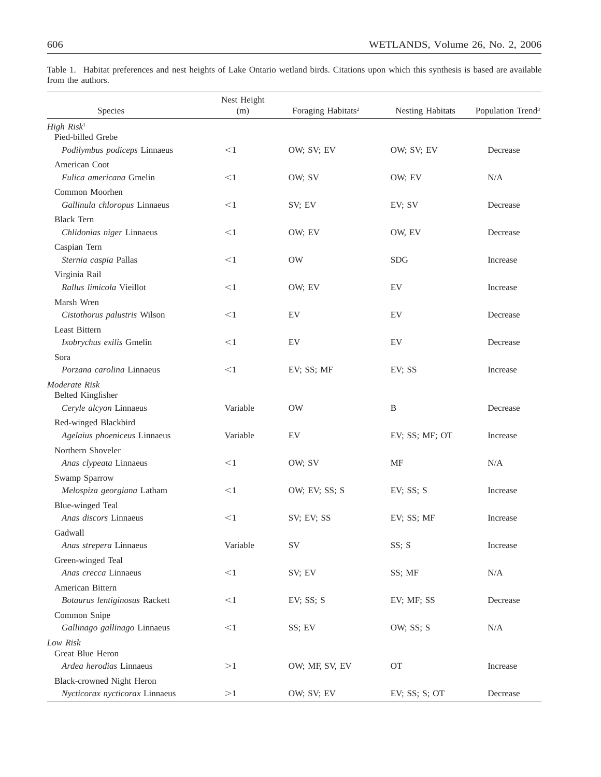| Species                                                     | Nest Height<br>(m) | Foraging Habitats <sup>2</sup> | Nesting Habitats      | Population Trend <sup>3</sup> |
|-------------------------------------------------------------|--------------------|--------------------------------|-----------------------|-------------------------------|
| High Risk <sup>1</sup><br>Pied-billed Grebe                 |                    |                                |                       |                               |
| Podilymbus podiceps Linnaeus                                | $<$ 1              | OW; SV; EV                     | OW; SV; EV            | Decrease                      |
| American Coot                                               |                    |                                |                       |                               |
| Fulica americana Gmelin                                     | $<$ 1              | OW; SV                         | OW; EV                | N/A                           |
| Common Moorhen<br>Gallinula chloropus Linnaeus              | <1                 | SV; EV                         | EV; SV                | Decrease                      |
| <b>Black Tern</b>                                           |                    |                                |                       |                               |
| Chlidonias niger Linnaeus                                   | $<$ 1              | OW; EV                         | OW, EV                | Decrease                      |
| Caspian Tern<br>Sternia caspia Pallas                       | $<$ 1              | <b>OW</b>                      | <b>SDG</b>            | Increase                      |
| Virginia Rail<br>Rallus limicola Vieillot                   | <1                 | OW; EV                         | EV                    | Increase                      |
| Marsh Wren                                                  |                    |                                |                       |                               |
| Cistothorus palustris Wilson                                | $<$ 1              | EV                             | EV                    | Decrease                      |
| Least Bittern<br>Ixobrychus exilis Gmelin                   | $<$ 1              | EV                             | EV                    | Decrease                      |
| Sora<br>Porzana carolina Linnaeus                           | <1                 | EV; SS; MF                     | EV; SS                | Increase                      |
|                                                             |                    |                                |                       |                               |
| Moderate Risk<br>Belted Kingfisher                          |                    |                                |                       |                               |
| Ceryle alcyon Linnaeus                                      | Variable           | <b>OW</b>                      | B                     | Decrease                      |
| Red-winged Blackbird<br>Agelaius phoeniceus Linnaeus        | Variable           | EV                             | EV; SS; MF; OT        | Increase                      |
| Northern Shoveler                                           |                    |                                |                       |                               |
| Anas clypeata Linnaeus                                      | $<$ 1              | OW; SV                         | <b>MF</b>             | N/A                           |
| Swamp Sparrow                                               |                    |                                |                       |                               |
| Melospiza georgiana Latham                                  | <1                 | OW; EV; SS; S                  | EV; SS; S             | Increase                      |
| Blue-winged Teal                                            |                    |                                |                       |                               |
| Anas discors Linnaeus                                       | $<$ 1              | SV; EV; SS                     | EV; SS; MF            | Increase                      |
| Gadwall                                                     |                    |                                |                       |                               |
| Anas strepera Linnaeus                                      | Variable           | SV                             | SS; S                 | Increase                      |
| Green-winged Teal                                           |                    |                                |                       |                               |
| Anas crecca Linnaeus                                        | <1                 | SV; EV                         | SS; MF                | N/A                           |
| American Bittern                                            |                    |                                |                       |                               |
| Botaurus lentiginosus Rackett                               | $<$ 1              | EV; SS; S                      | EV; MF; SS            | Decrease                      |
| Common Snipe                                                |                    |                                |                       |                               |
| Gallinago gallinago Linnaeus                                | <1                 | SS; EV                         | OW; SS; S             | N/A                           |
| Low Risk<br>Great Blue Heron                                |                    |                                |                       |                               |
| Ardea herodias Linnaeus                                     | >1                 | OW; MF, SV, EV                 | <b>OT</b>             | Increase                      |
| Black-crowned Night Heron<br>Nycticorax nycticorax Linnaeus | >1                 | OW; SV; EV                     | EV; $SS$ ; $S$ ; $OT$ | Decrease                      |

Table 1. Habitat preferences and nest heights of Lake Ontario wetland birds. Citations upon which this synthesis is based are available from the authors.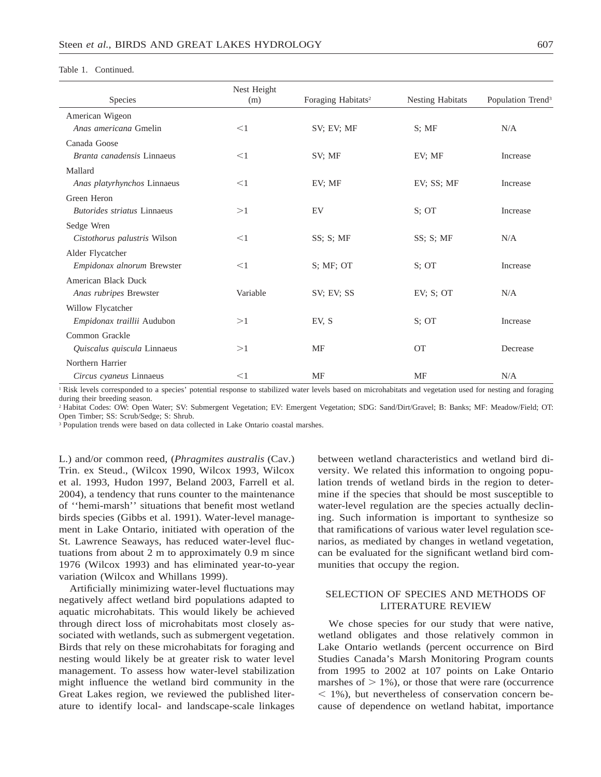#### Table 1. Continued.

|                                    | Nest Height |                                |                         |                               |
|------------------------------------|-------------|--------------------------------|-------------------------|-------------------------------|
| Species                            | (m)         | Foraging Habitats <sup>2</sup> | <b>Nesting Habitats</b> | Population Trend <sup>3</sup> |
| American Wigeon                    |             |                                |                         |                               |
| Anas americana Gmelin              | $<$ 1       | SV; EV; MF                     | S: MF                   | N/A                           |
| Canada Goose                       |             |                                |                         |                               |
| Branta canadensis Linnaeus         | $<$ 1       | SV; MF                         | EV: MF                  | Increase                      |
| Mallard                            |             |                                |                         |                               |
| Anas platyrhynchos Linnaeus        | $<$ 1       | EV; MF                         | EV; SS; MF              | Increase                      |
| Green Heron                        |             |                                |                         |                               |
| <i>Butorides striatus</i> Linnaeus | >1          | EV                             | S; OT                   | Increase                      |
| Sedge Wren                         |             |                                |                         |                               |
| Cistothorus palustris Wilson       | <1          | SS; S; MF                      | $SS$ ; $S$ ; MF         | N/A                           |
| Alder Flycatcher                   |             |                                |                         |                               |
| Empidonax alnorum Brewster         | $<$ 1       | $S$ ; MF; OT                   | S; OT                   | Increase                      |
| American Black Duck                |             |                                |                         |                               |
| Anas rubripes Brewster             | Variable    | SV; EV; SS                     | EV: S: OT               | N/A                           |
| Willow Flycatcher                  |             |                                |                         |                               |
| Empidonax traillii Audubon         | >1          | EV, S                          | S; OT                   | Increase                      |
| Common Grackle                     |             |                                |                         |                               |
| Quiscalus quiscula Linnaeus        | >1          | MF                             | <b>OT</b>               | Decrease                      |
| Northern Harrier                   |             |                                |                         |                               |
| Circus cyaneus Linnaeus            | $<$ 1       | MF                             | <b>MF</b>               | N/A                           |

<sup>1</sup> Risk levels corresponded to a species' potential response to stabilized water levels based on microhabitats and vegetation used for nesting and foraging during their breeding season.

<sup>2</sup> Habitat Codes: OW: Open Water; SV: Submergent Vegetation; EV: Emergent Vegetation; SDG: Sand/Dirt/Gravel; B: Banks; MF: Meadow/Field; OT: Open Timber; SS: Scrub/Sedge; S: Shrub.

<sup>3</sup> Population trends were based on data collected in Lake Ontario coastal marshes.

L.) and/or common reed, (*Phragmites australis* (Cav.) Trin. ex Steud., (Wilcox 1990, Wilcox 1993, Wilcox et al. 1993, Hudon 1997, Beland 2003, Farrell et al. 2004), a tendency that runs counter to the maintenance of ''hemi-marsh'' situations that benefit most wetland birds species (Gibbs et al. 1991). Water-level management in Lake Ontario, initiated with operation of the St. Lawrence Seaways, has reduced water-level fluctuations from about 2 m to approximately 0.9 m since 1976 (Wilcox 1993) and has eliminated year-to-year variation (Wilcox and Whillans 1999).

Artificially minimizing water-level fluctuations may negatively affect wetland bird populations adapted to aquatic microhabitats. This would likely be achieved through direct loss of microhabitats most closely associated with wetlands, such as submergent vegetation. Birds that rely on these microhabitats for foraging and nesting would likely be at greater risk to water level management. To assess how water-level stabilization might influence the wetland bird community in the Great Lakes region, we reviewed the published literature to identify local- and landscape-scale linkages

between wetland characteristics and wetland bird diversity. We related this information to ongoing population trends of wetland birds in the region to determine if the species that should be most susceptible to water-level regulation are the species actually declining. Such information is important to synthesize so that ramifications of various water level regulation scenarios, as mediated by changes in wetland vegetation, can be evaluated for the significant wetland bird communities that occupy the region.

### SELECTION OF SPECIES AND METHODS OF LITERATURE REVIEW

We chose species for our study that were native, wetland obligates and those relatively common in Lake Ontario wetlands (percent occurrence on Bird Studies Canada's Marsh Monitoring Program counts from 1995 to 2002 at 107 points on Lake Ontario marshes of  $> 1\%$ ), or those that were rare (occurrence  $<$  1%), but nevertheless of conservation concern because of dependence on wetland habitat, importance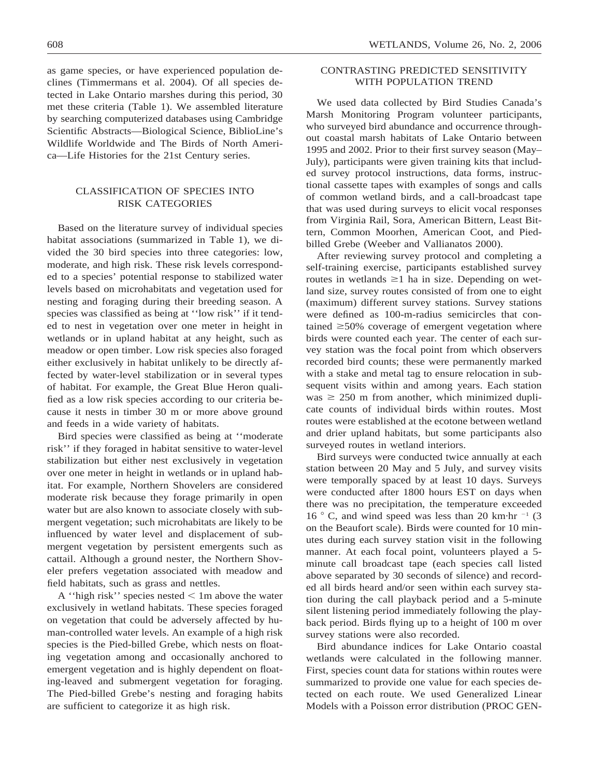as game species, or have experienced population declines (Timmermans et al. 2004). Of all species detected in Lake Ontario marshes during this period, 30 met these criteria (Table 1). We assembled literature by searching computerized databases using Cambridge Scientific Abstracts—Biological Science, BiblioLine's Wildlife Worldwide and The Birds of North America—Life Histories for the 21st Century series.

### CLASSIFICATION OF SPECIES INTO RISK CATEGORIES

Based on the literature survey of individual species habitat associations (summarized in Table 1), we divided the 30 bird species into three categories: low, moderate, and high risk. These risk levels corresponded to a species' potential response to stabilized water levels based on microhabitats and vegetation used for nesting and foraging during their breeding season. A species was classified as being at ''low risk'' if it tended to nest in vegetation over one meter in height in wetlands or in upland habitat at any height, such as meadow or open timber. Low risk species also foraged either exclusively in habitat unlikely to be directly affected by water-level stabilization or in several types of habitat. For example, the Great Blue Heron qualified as a low risk species according to our criteria because it nests in timber 30 m or more above ground and feeds in a wide variety of habitats.

Bird species were classified as being at ''moderate risk'' if they foraged in habitat sensitive to water-level stabilization but either nest exclusively in vegetation over one meter in height in wetlands or in upland habitat. For example, Northern Shovelers are considered moderate risk because they forage primarily in open water but are also known to associate closely with submergent vegetation; such microhabitats are likely to be influenced by water level and displacement of submergent vegetation by persistent emergents such as cattail. Although a ground nester, the Northern Shoveler prefers vegetation associated with meadow and field habitats, such as grass and nettles.

A "high risk" species nested  $\leq 1$ m above the water exclusively in wetland habitats. These species foraged on vegetation that could be adversely affected by human-controlled water levels. An example of a high risk species is the Pied-billed Grebe, which nests on floating vegetation among and occasionally anchored to emergent vegetation and is highly dependent on floating-leaved and submergent vegetation for foraging. The Pied-billed Grebe's nesting and foraging habits are sufficient to categorize it as high risk.

## CONTRASTING PREDICTED SENSITIVITY WITH POPULATION TREND

We used data collected by Bird Studies Canada's Marsh Monitoring Program volunteer participants, who surveyed bird abundance and occurrence throughout coastal marsh habitats of Lake Ontario between 1995 and 2002. Prior to their first survey season (May– July), participants were given training kits that included survey protocol instructions, data forms, instructional cassette tapes with examples of songs and calls of common wetland birds, and a call-broadcast tape that was used during surveys to elicit vocal responses from Virginia Rail, Sora, American Bittern, Least Bittern, Common Moorhen, American Coot, and Piedbilled Grebe (Weeber and Vallianatos 2000).

After reviewing survey protocol and completing a self-training exercise, participants established survey routes in wetlands  $\geq 1$  ha in size. Depending on wetland size, survey routes consisted of from one to eight (maximum) different survey stations. Survey stations were defined as 100-m-radius semicircles that contained  $\geq 50\%$  coverage of emergent vegetation where birds were counted each year. The center of each survey station was the focal point from which observers recorded bird counts; these were permanently marked with a stake and metal tag to ensure relocation in subsequent visits within and among years. Each station was  $\geq 250$  m from another, which minimized duplicate counts of individual birds within routes. Most routes were established at the ecotone between wetland and drier upland habitats, but some participants also surveyed routes in wetland interiors.

Bird surveys were conducted twice annually at each station between 20 May and 5 July, and survey visits were temporally spaced by at least 10 days. Surveys were conducted after 1800 hours EST on days when there was no precipitation, the temperature exceeded 16  $\degree$  C, and wind speed was less than 20 km·hr  $^{-1}$  (3) on the Beaufort scale). Birds were counted for 10 minutes during each survey station visit in the following manner. At each focal point, volunteers played a 5 minute call broadcast tape (each species call listed above separated by 30 seconds of silence) and recorded all birds heard and/or seen within each survey station during the call playback period and a 5-minute silent listening period immediately following the playback period. Birds flying up to a height of 100 m over survey stations were also recorded.

Bird abundance indices for Lake Ontario coastal wetlands were calculated in the following manner. First, species count data for stations within routes were summarized to provide one value for each species detected on each route. We used Generalized Linear Models with a Poisson error distribution (PROC GEN-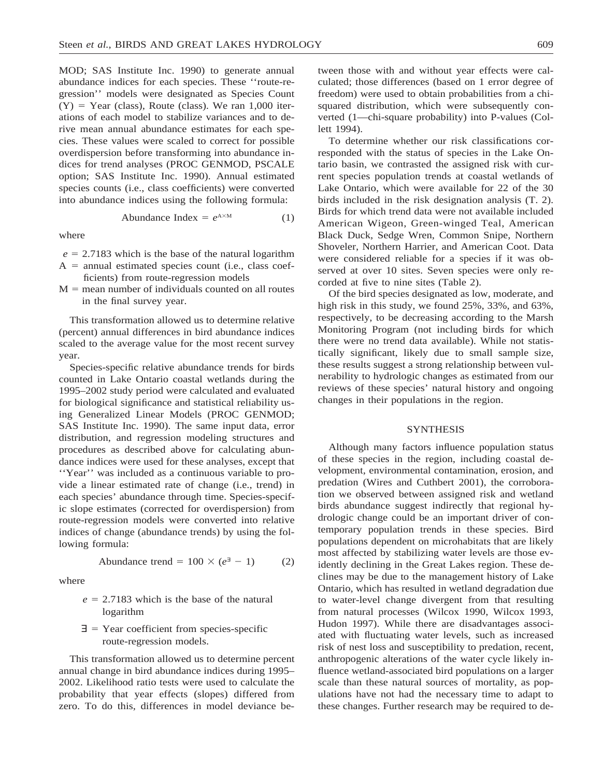MOD; SAS Institute Inc. 1990) to generate annual abundance indices for each species. These ''route-regression'' models were designated as Species Count  $(Y)$  = Year (class), Route (class). We ran 1,000 iterations of each model to stabilize variances and to derive mean annual abundance estimates for each species. These values were scaled to correct for possible overdispersion before transforming into abundance indices for trend analyses (PROC GENMOD, PSCALE option; SAS Institute Inc. 1990). Annual estimated species counts (i.e., class coefficients) were converted into abundance indices using the following formula:

$$
A \text{bundle} \text{ Index} = e^{A \times M} \tag{1}
$$

where

 $e = 2.7183$  which is the base of the natural logarithm  $A =$  annual estimated species count (i.e., class coefficients) from route-regression models

 $M =$  mean number of individuals counted on all routes in the final survey year.

This transformation allowed us to determine relative (percent) annual differences in bird abundance indices scaled to the average value for the most recent survey year.

Species-specific relative abundance trends for birds counted in Lake Ontario coastal wetlands during the 1995–2002 study period were calculated and evaluated for biological significance and statistical reliability using Generalized Linear Models (PROC GENMOD; SAS Institute Inc. 1990). The same input data, error distribution, and regression modeling structures and procedures as described above for calculating abundance indices were used for these analyses, except that ''Year'' was included as a continuous variable to provide a linear estimated rate of change (i.e., trend) in each species' abundance through time. Species-specific slope estimates (corrected for overdispersion) from route-regression models were converted into relative indices of change (abundance trends) by using the following formula:

$$
Bounded area = 100 \times (e^3 - 1) \tag{2}
$$

where

- $e = 2.7183$  which is the base of the natural logarithm
- $\exists$  = Year coefficient from species-specific route-regression models.

This transformation allowed us to determine percent annual change in bird abundance indices during 1995– 2002. Likelihood ratio tests were used to calculate the probability that year effects (slopes) differed from zero. To do this, differences in model deviance between those with and without year effects were calculated; those differences (based on 1 error degree of freedom) were used to obtain probabilities from a chisquared distribution, which were subsequently converted (1—chi-square probability) into P-values (Collett 1994).

To determine whether our risk classifications corresponded with the status of species in the Lake Ontario basin, we contrasted the assigned risk with current species population trends at coastal wetlands of Lake Ontario, which were available for 22 of the 30 birds included in the risk designation analysis (T. 2). Birds for which trend data were not available included American Wigeon, Green-winged Teal, American Black Duck, Sedge Wren, Common Snipe, Northern Shoveler, Northern Harrier, and American Coot. Data were considered reliable for a species if it was observed at over 10 sites. Seven species were only recorded at five to nine sites (Table 2).

Of the bird species designated as low, moderate, and high risk in this study, we found 25%, 33%, and 63%, respectively, to be decreasing according to the Marsh Monitoring Program (not including birds for which there were no trend data available). While not statistically significant, likely due to small sample size, these results suggest a strong relationship between vulnerability to hydrologic changes as estimated from our reviews of these species' natural history and ongoing changes in their populations in the region.

#### SYNTHESIS

Although many factors influence population status of these species in the region, including coastal development, environmental contamination, erosion, and predation (Wires and Cuthbert 2001), the corroboration we observed between assigned risk and wetland birds abundance suggest indirectly that regional hydrologic change could be an important driver of contemporary population trends in these species. Bird populations dependent on microhabitats that are likely most affected by stabilizing water levels are those evidently declining in the Great Lakes region. These declines may be due to the management history of Lake Ontario, which has resulted in wetland degradation due to water-level change divergent from that resulting from natural processes (Wilcox 1990, Wilcox 1993, Hudon 1997). While there are disadvantages associated with fluctuating water levels, such as increased risk of nest loss and susceptibility to predation, recent, anthropogenic alterations of the water cycle likely influence wetland-associated bird populations on a larger scale than these natural sources of mortality, as populations have not had the necessary time to adapt to these changes. Further research may be required to de-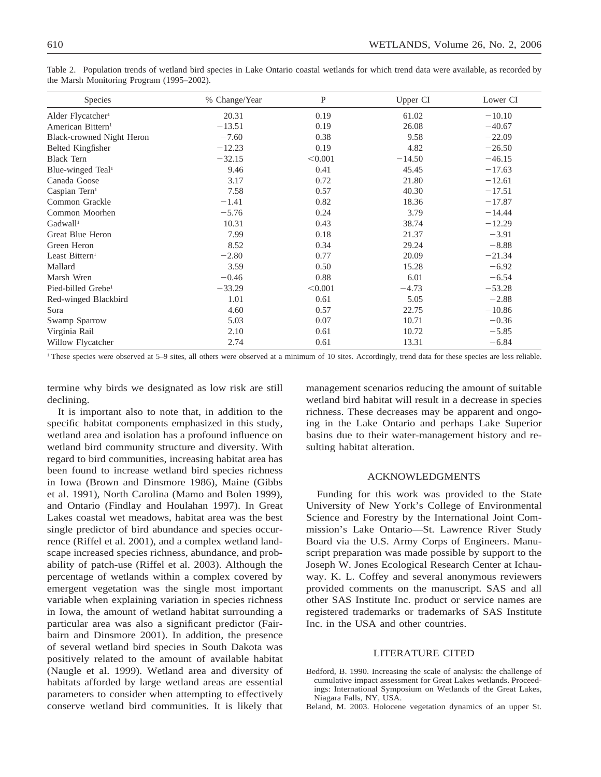| Species                        | % Change/Year | P       | Upper CI | Lower CI |
|--------------------------------|---------------|---------|----------|----------|
| Alder Flycatcher <sup>1</sup>  | 20.31         | 0.19    | 61.02    | $-10.10$ |
| American Bittern <sup>1</sup>  | $-13.51$      | 0.19    | 26.08    | $-40.67$ |
| Black-crowned Night Heron      | $-7.60$       | 0.38    | 9.58     | $-22.09$ |
| Belted Kingfisher              | $-12.23$      | 0.19    | 4.82     | $-26.50$ |
| <b>Black Tern</b>              | $-32.15$      | < 0.001 | $-14.50$ | $-46.15$ |
| Blue-winged Teal <sup>1</sup>  | 9.46          | 0.41    | 45.45    | $-17.63$ |
| Canada Goose                   | 3.17          | 0.72    | 21.80    | $-12.61$ |
| Caspian Tern <sup>1</sup>      | 7.58          | 0.57    | 40.30    | $-17.51$ |
| Common Grackle                 | $-1.41$       | 0.82    | 18.36    | $-17.87$ |
| Common Moorhen                 | $-5.76$       | 0.24    | 3.79     | $-14.44$ |
| Gadwall <sup>1</sup>           | 10.31         | 0.43    | 38.74    | $-12.29$ |
| Great Blue Heron               | 7.99          | 0.18    | 21.37    | $-3.91$  |
| Green Heron                    | 8.52          | 0.34    | 29.24    | $-8.88$  |
| Least Bittern <sup>1</sup>     | $-2.80$       | 0.77    | 20.09    | $-21.34$ |
| Mallard                        | 3.59          | 0.50    | 15.28    | $-6.92$  |
| Marsh Wren                     | $-0.46$       | 0.88    | 6.01     | $-6.54$  |
| Pied-billed Grebe <sup>1</sup> | $-33.29$      | < 0.001 | $-4.73$  | $-53.28$ |
| Red-winged Blackbird           | 1.01          | 0.61    | 5.05     | $-2.88$  |
| Sora                           | 4.60          | 0.57    | 22.75    | $-10.86$ |
| Swamp Sparrow                  | 5.03          | 0.07    | 10.71    | $-0.36$  |
| Virginia Rail                  | 2.10          | 0.61    | 10.72    | $-5.85$  |
| Willow Flycatcher              | 2.74          | 0.61    | 13.31    | $-6.84$  |

Table 2. Population trends of wetland bird species in Lake Ontario coastal wetlands for which trend data were available, as recorded by the Marsh Monitoring Program (1995–2002).

<sup>1</sup> These species were observed at 5–9 sites, all others were observed at a minimum of 10 sites. Accordingly, trend data for these species are less reliable.

termine why birds we designated as low risk are still declining.

It is important also to note that, in addition to the specific habitat components emphasized in this study, wetland area and isolation has a profound influence on wetland bird community structure and diversity. With regard to bird communities, increasing habitat area has been found to increase wetland bird species richness in Iowa (Brown and Dinsmore 1986), Maine (Gibbs et al. 1991), North Carolina (Mamo and Bolen 1999), and Ontario (Findlay and Houlahan 1997). In Great Lakes coastal wet meadows, habitat area was the best single predictor of bird abundance and species occurrence (Riffel et al. 2001), and a complex wetland landscape increased species richness, abundance, and probability of patch-use (Riffel et al. 2003). Although the percentage of wetlands within a complex covered by emergent vegetation was the single most important variable when explaining variation in species richness in Iowa, the amount of wetland habitat surrounding a particular area was also a significant predictor (Fairbairn and Dinsmore 2001). In addition, the presence of several wetland bird species in South Dakota was positively related to the amount of available habitat (Naugle et al. 1999). Wetland area and diversity of habitats afforded by large wetland areas are essential parameters to consider when attempting to effectively conserve wetland bird communities. It is likely that management scenarios reducing the amount of suitable wetland bird habitat will result in a decrease in species richness. These decreases may be apparent and ongoing in the Lake Ontario and perhaps Lake Superior basins due to their water-management history and resulting habitat alteration.

#### ACKNOWLEDGMENTS

Funding for this work was provided to the State University of New York's College of Environmental Science and Forestry by the International Joint Commission's Lake Ontario—St. Lawrence River Study Board via the U.S. Army Corps of Engineers. Manuscript preparation was made possible by support to the Joseph W. Jones Ecological Research Center at Ichauway. K. L. Coffey and several anonymous reviewers provided comments on the manuscript. SAS and all other SAS Institute Inc. product or service names are registered trademarks or trademarks of SAS Institute Inc. in the USA and other countries.

#### LITERATURE CITED

- Bedford, B. 1990. Increasing the scale of analysis: the challenge of cumulative impact assessment for Great Lakes wetlands. Proceedings: International Symposium on Wetlands of the Great Lakes, Niagara Falls, NY, USA.
- Beland, M. 2003. Holocene vegetation dynamics of an upper St.